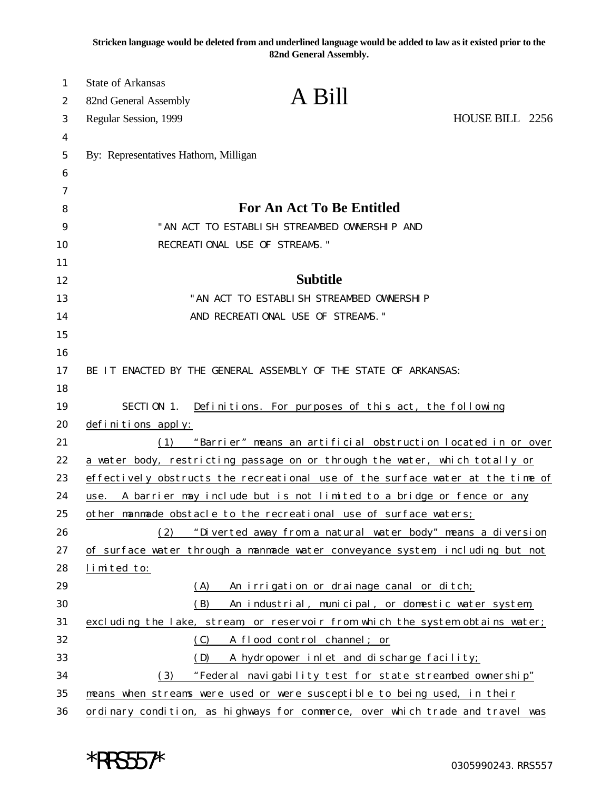**Stricken language would be deleted from and underlined language would be added to law as it existed prior to the 82nd General Assembly.**

| 1<br>2 | <b>State of Arkansas</b><br>82nd General Assembly | A Bill                                                                         |                 |
|--------|---------------------------------------------------|--------------------------------------------------------------------------------|-----------------|
| 3      | Regular Session, 1999                             |                                                                                | HOUSE BILL 2256 |
| 4      |                                                   |                                                                                |                 |
| 5      | By: Representatives Hathorn, Milligan             |                                                                                |                 |
| 6      |                                                   |                                                                                |                 |
| 7      |                                                   |                                                                                |                 |
| 8      |                                                   | For An Act To Be Entitled                                                      |                 |
| 9      |                                                   | "AN ACT TO ESTABLISH STREAMBED OWNERSHIP AND                                   |                 |
| 10     |                                                   | RECREATIONAL USE OF STREAMS."                                                  |                 |
| 11     |                                                   |                                                                                |                 |
| 12     |                                                   | <b>Subtitle</b>                                                                |                 |
| 13     |                                                   | "AN ACT TO ESTABLISH STREAMBED OWNERSHIP                                       |                 |
| 14     |                                                   | AND RECREATIONAL USE OF STREAMS."                                              |                 |
| 15     |                                                   |                                                                                |                 |
| 16     |                                                   |                                                                                |                 |
| 17     |                                                   | BE IT ENACTED BY THE GENERAL ASSEMBLY OF THE STATE OF ARKANSAS:                |                 |
| 18     |                                                   |                                                                                |                 |
| 19     |                                                   | SECTION 1. Definitions. For purposes of this act, the following                |                 |
| 20     | definitions apply:                                |                                                                                |                 |
| 21     | (1)                                               | "Barrier" means an artificial obstruction located in or over                   |                 |
| 22     |                                                   | a water body, restricting passage on or through the water, which totally or    |                 |
| 23     |                                                   | effectively obstructs the recreational use of the surface water at the time of |                 |
| 24     | use.                                              | A barrier may include but is not limited to a bridge or fence or any           |                 |
| 25     |                                                   | other manmade obstacle to the recreational use of surface waters;              |                 |
| 26     | (2)                                               | "Diverted away from a natural water body" means a diversion                    |                 |
| 27     |                                                   | of surface water through a manmade water conveyance system, including but not  |                 |
| 28     | limited to:                                       |                                                                                |                 |
| 29     | (A)                                               | An irrigation or drainage canal or ditch;                                      |                 |
| 30     | (B)                                               | An industrial, municipal, or domestic water system,                            |                 |
| 31     |                                                   | excluding the lake, stream, or reservoir from which the system obtains water;  |                 |
| 32     | (C)                                               | A flood control channel; or                                                    |                 |
| 33     | (D)                                               | A hydropower inlet and discharge facility;                                     |                 |
| 34     | (3)                                               | "Federal navigability test for state streambed ownership"                      |                 |
| 35     |                                                   | means when streams were used or were susceptible to being used, in their       |                 |
| 36     |                                                   | ordinary condition, as highways for commerce, over which trade and travel was  |                 |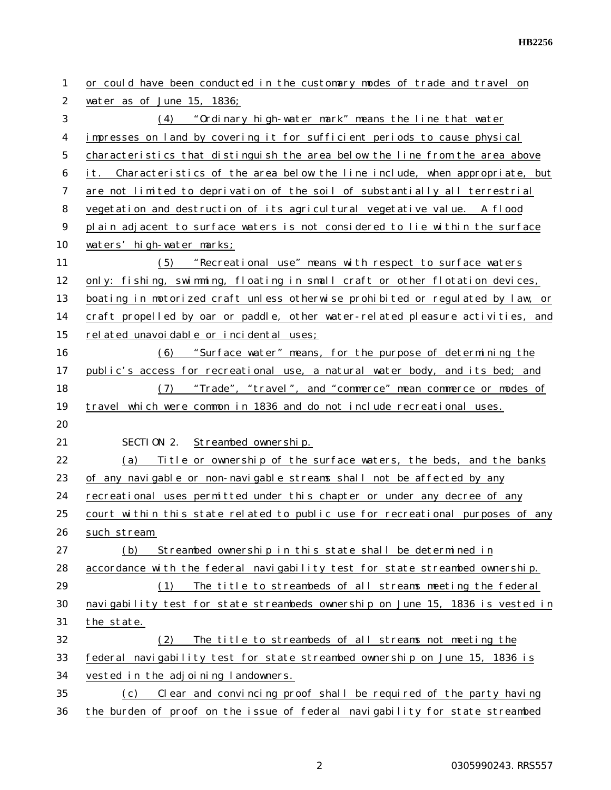| 1              | or could have been conducted in the customary modes of trade and travel on     |
|----------------|--------------------------------------------------------------------------------|
| $\overline{c}$ | water as of June 15, 1836;                                                     |
| 3              | (4) "Ordinary high-water mark" means the line that water                       |
| 4              | impresses on land by covering it for sufficient periods to cause physical      |
| 5              | characteristics that distinguish the area below the line from the area above   |
| 6              | it. Characteristics of the area below the line include, when appropriate, but  |
| 7              | are not limited to deprivation of the soil of substantially all terrestrial    |
| 8              | vegetation and destruction of its agricultural vegetative value. A flood       |
| 9              | plain adjacent to surface waters is not considered to lie within the surface   |
| 10             | waters' high-water marks;                                                      |
| 11             | "Recreational use" means with respect to surface waters<br>(5)                 |
| 12             | only: fishing, swimming, floating in small craft or other flotation devices,   |
| 13             | boating in motorized craft unless otherwise prohibited or regulated by law, or |
| 14             | craft propelled by oar or paddle, other water-related pleasure activities, and |
| 15             | related unavoidable or incidental uses;                                        |
| 16             | "Surface water" means, for the purpose of determining the<br>(6)               |
| 17             | public's access for recreational use, a natural water body, and its bed; and   |
| 18             | "Trade", "travel", and "commerce" mean commerce or modes of<br>(7)             |
| 19             | travel which were common in 1836 and do not include recreational uses.         |
| 20             |                                                                                |
| 21             | SECTION 2. Streambed ownership.                                                |
| 22             | Title or ownership of the surface waters, the beds, and the banks<br>(a)       |
| 23             | of any navigable or non-navigable streams shall not be affected by any         |
| 24             | recreational uses permitted under this chapter or under any decree of any      |
| 25             | court within this state related to public use for recreational purposes of any |
| 26             | such stream.                                                                   |
| 27             | Streambed ownership in this state shall be determined in<br>(b)                |
| 28             | accordance with the federal navigability test for state streambed ownership.   |
| 29             | (1)<br>The title to streambeds of all streams meeting the federal              |
| 30             | navigability test for state streambeds ownership on June 15, 1836 is vested in |
| 31             | the state.                                                                     |
| 32             | The title to streambeds of all streams not meeting the<br>(2)                  |
| 33             | federal navigability test for state streambed ownership on June 15, 1836 is    |
| 34             | vested in the adjoining landowners.                                            |
| 35             | Clear and convincing proof shall be required of the party having<br>(c)        |
| 36             | the burden of proof on the issue of federal navigability for state streambed   |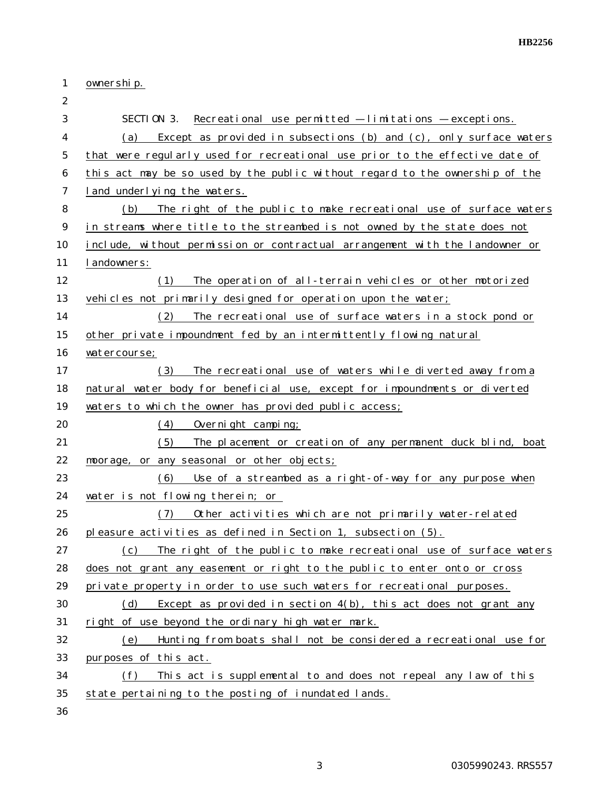| 1              | ownership.                                                                   |
|----------------|------------------------------------------------------------------------------|
| $\overline{2}$ |                                                                              |
| 3              | SECTION 3.<br>Recreational use permitted - limitations - exceptions.         |
| 4              | Except as provided in subsections (b) and (c), only surface waters<br>(a)    |
| 5              | that were regularly used for recreational use prior to the effective date of |
| 6              | this act may be so used by the public without regard to the ownership of the |
| 7              | land underlying the waters.                                                  |
| 8              | The right of the public to make recreational use of surface waters<br>(b)    |
| 9              | in streams where title to the streambed is not owned by the state does not   |
| 10             | include, without permission or contractual arrangement with the landowner or |
| 11             | landowners:                                                                  |
| 12             | The operation of all-terrain vehicles or other motorized<br>(1)              |
| 13             | vehicles not primarily designed for operation upon the water;                |
| 14             | The recreational use of surface waters in a stock pond or<br>(2)             |
| 15             | other private impoundment fed by an intermittently flowing natural           |
| 16             | watercourse;                                                                 |
| 17             | The recreational use of waters while diverted away from a<br>(3)             |
| 18             | natural water body for beneficial use, except for impoundments or diverted   |
| 19             | waters to which the owner has provided public access;                        |
| 20             | (4)<br>Overnight camping;                                                    |
| 21             | (5)<br>The placement or creation of any permanent duck blind, boat           |
| 22             | moorage, or any seasonal or other objects;                                   |
| 23             | Use of a streambed as a right-of-way for any purpose when<br>(6)             |
| 24             | water is not flowing therein; or                                             |
| 25             | Other activities which are not primarily water-related<br>(7)                |
| 26             | pleasure activities as defined in Section 1, subsection (5).                 |
| 27             | The right of the public to make recreational use of surface waters<br>(c)    |
| 28             | does not grant any easement or right to the public to enter onto or cross    |
| 29             | private property in order to use such waters for recreational purposes.      |
| 30             | Except as provided in section $4(b)$ , this act does not grant any<br>(d)    |
| 31             | right of use beyond the ordinary high water mark.                            |
| 32             | Hunting from boats shall not be considered a recreational use for<br>(e)     |
| 33             | purposes of this act.                                                        |
| 34             | This act is supplemental to and does not repeal any law of this<br>(f)       |
| 35             | state pertaining to the posting of inundated lands.                          |
| 36             |                                                                              |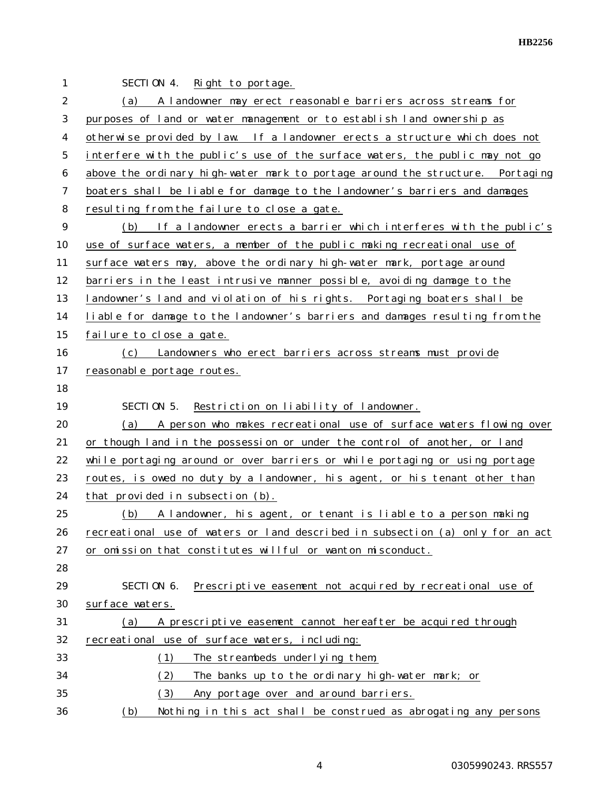| 1              | SECTION 4.<br>Right to portage.                                                |
|----------------|--------------------------------------------------------------------------------|
| $\overline{2}$ | (a) A landowner may erect reasonable barriers across streams for               |
| 3              | purposes of land or water management or to establish land ownership as         |
| 4              | otherwise provided by law. If a landowner erects a structure which does not    |
| 5              | interfere with the public's use of the surface waters, the public may not go   |
| 6              | above the ordinary high-water mark to portage around the structure. Portaging  |
| 7              | boaters shall be liable for damage to the landowner's barriers and damages     |
| 8              | resulting from the failure to close a gate.                                    |
| 9              | (b) If a landowner erects a barrier which interferes with the public's         |
| 10             | use of surface waters, a member of the public making recreational use of       |
| 11             | surface waters may, above the ordinary high-water mark, portage around         |
| 12             | barriers in the least intrusive manner possible, avoiding damage to the        |
| 13             | landowner's land and violation of his rights. Portaging boaters shall be       |
| 14             | liable for damage to the landowner's barriers and damages resulting from the   |
| 15             | failure to close a gate.                                                       |
| 16             | (c) Landowners who erect barriers across streams must provide                  |
| 17             | reasonable portage routes.                                                     |
| 18             |                                                                                |
|                |                                                                                |
| 19             | SECTION 5.<br>Restriction on liability of landowner.                           |
| 20             | (a) A person who makes recreational use of surface waters flowing over         |
| 21             | or though land in the possession or under the control of another, or land      |
| 22             | while portaging around or over barriers or while portaging or using portage    |
| 23             | routes, is owed no duty by a landowner, his agent, or his tenant other than    |
| 24             | that provided in subsection (b).                                               |
| 25             | (b)<br>A landowner, his agent, or tenant is liable to a person making          |
| 26             | recreational use of waters or land described in subsection (a) only for an act |
| 27             | or omission that constitutes willful or wanton misconduct.                     |
| 28             |                                                                                |
| 29             | SECTION 6.<br>Prescriptive easement not acquired by recreational use of        |
| 30             | surface waters.                                                                |
| 31             | A prescriptive easement cannot hereafter be acquired through<br>(a)            |
| 32             | recreational use of surface waters, including:                                 |
| 33             | (1)<br>The streambeds underlying them;                                         |
| 34             | The banks up to the ordinary high-water mark; or<br>(2)                        |
| 35             | (3)<br>Any portage over and around barriers.                                   |